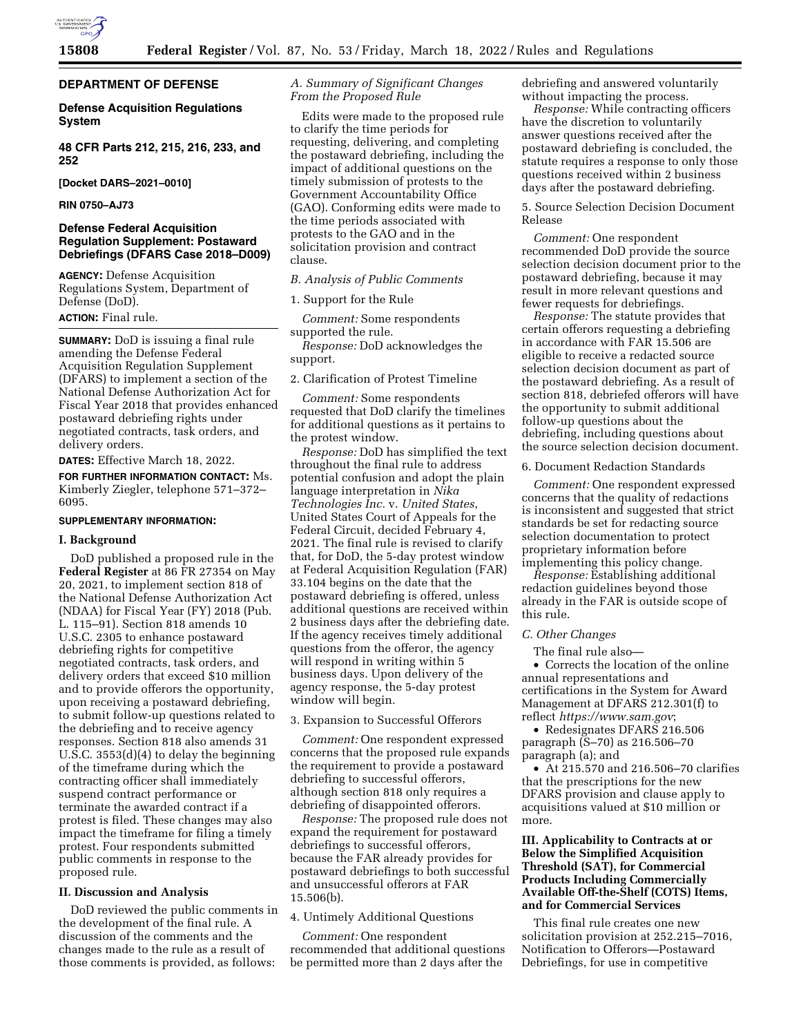

## **DEPARTMENT OF DEFENSE**

## **Defense Acquisition Regulations System**

**48 CFR Parts 212, 215, 216, 233, and 252** 

**[Docket DARS–2021–0010]** 

**RIN 0750–AJ73** 

## **Defense Federal Acquisition Regulation Supplement: Postaward Debriefings (DFARS Case 2018–D009)**

**AGENCY:** Defense Acquisition Regulations System, Department of Defense (DoD).

# **ACTION:** Final rule.

**SUMMARY:** DoD is issuing a final rule amending the Defense Federal Acquisition Regulation Supplement (DFARS) to implement a section of the National Defense Authorization Act for Fiscal Year 2018 that provides enhanced postaward debriefing rights under negotiated contracts, task orders, and delivery orders.

**DATES:** Effective March 18, 2022.

**FOR FURTHER INFORMATION CONTACT:** Ms. Kimberly Ziegler, telephone 571–372– 6095.

#### **SUPPLEMENTARY INFORMATION:**

#### **I. Background**

DoD published a proposed rule in the **Federal Register** at 86 FR 27354 on May 20, 2021, to implement section 818 of the National Defense Authorization Act (NDAA) for Fiscal Year (FY) 2018 (Pub. L. 115–91). Section 818 amends 10 U.S.C. 2305 to enhance postaward debriefing rights for competitive negotiated contracts, task orders, and delivery orders that exceed \$10 million and to provide offerors the opportunity, upon receiving a postaward debriefing, to submit follow-up questions related to the debriefing and to receive agency responses. Section 818 also amends 31 U.S.C. 3553(d)(4) to delay the beginning of the timeframe during which the contracting officer shall immediately suspend contract performance or terminate the awarded contract if a protest is filed. These changes may also impact the timeframe for filing a timely protest. Four respondents submitted public comments in response to the proposed rule.

## **II. Discussion and Analysis**

DoD reviewed the public comments in the development of the final rule. A discussion of the comments and the changes made to the rule as a result of those comments is provided, as follows:

## *A. Summary of Significant Changes From the Proposed Rule*

Edits were made to the proposed rule to clarify the time periods for requesting, delivering, and completing the postaward debriefing, including the impact of additional questions on the timely submission of protests to the Government Accountability Office (GAO). Conforming edits were made to the time periods associated with protests to the GAO and in the solicitation provision and contract clause.

## *B. Analysis of Public Comments*

1. Support for the Rule

*Comment:* Some respondents supported the rule.

*Response:* DoD acknowledges the support.

2. Clarification of Protest Timeline

*Comment:* Some respondents requested that DoD clarify the timelines for additional questions as it pertains to the protest window.

*Response:* DoD has simplified the text throughout the final rule to address potential confusion and adopt the plain language interpretation in *Nika Technologies Inc.* v. *United States*, United States Court of Appeals for the Federal Circuit, decided February 4, 2021. The final rule is revised to clarify that, for DoD, the 5-day protest window at Federal Acquisition Regulation (FAR) 33.104 begins on the date that the postaward debriefing is offered, unless additional questions are received within 2 business days after the debriefing date. If the agency receives timely additional questions from the offeror, the agency will respond in writing within 5 business days. Upon delivery of the agency response, the 5-day protest window will begin.

3. Expansion to Successful Offerors

*Comment:* One respondent expressed concerns that the proposed rule expands the requirement to provide a postaward debriefing to successful offerors, although section 818 only requires a debriefing of disappointed offerors.

*Response:* The proposed rule does not expand the requirement for postaward debriefings to successful offerors, because the FAR already provides for postaward debriefings to both successful and unsuccessful offerors at FAR 15.506(b).

#### 4. Untimely Additional Questions

*Comment:* One respondent recommended that additional questions be permitted more than 2 days after the

debriefing and answered voluntarily without impacting the process.

*Response:* While contracting officers have the discretion to voluntarily answer questions received after the postaward debriefing is concluded, the statute requires a response to only those questions received within 2 business days after the postaward debriefing.

5. Source Selection Decision Document Release

*Comment:* One respondent recommended DoD provide the source selection decision document prior to the postaward debriefing, because it may result in more relevant questions and fewer requests for debriefings.

*Response:* The statute provides that certain offerors requesting a debriefing in accordance with FAR 15.506 are eligible to receive a redacted source selection decision document as part of the postaward debriefing. As a result of section 818, debriefed offerors will have the opportunity to submit additional follow-up questions about the debriefing, including questions about the source selection decision document.

6. Document Redaction Standards

*Comment:* One respondent expressed concerns that the quality of redactions is inconsistent and suggested that strict standards be set for redacting source selection documentation to protect proprietary information before implementing this policy change.

*Response:* Establishing additional redaction guidelines beyond those already in the FAR is outside scope of this rule.

## *C. Other Changes*

The final rule also—

• Corrects the location of the online annual representations and certifications in the System for Award Management at DFARS 212.301(f) to reflect *<https://www.sam.gov>*;

• Redesignates DFARS 216.506 paragraph (S–70) as 216.506–70 paragraph (a); and

• At 215.570 and 216.506–70 clarifies that the prescriptions for the new DFARS provision and clause apply to acquisitions valued at \$10 million or more.

# **III. Applicability to Contracts at or Below the Simplified Acquisition Threshold (SAT), for Commercial Products Including Commercially Available Off-the-Shelf (COTS) Items, and for Commercial Services**

This final rule creates one new solicitation provision at 252.215–7016, Notification to Offerors—Postaward Debriefings, for use in competitive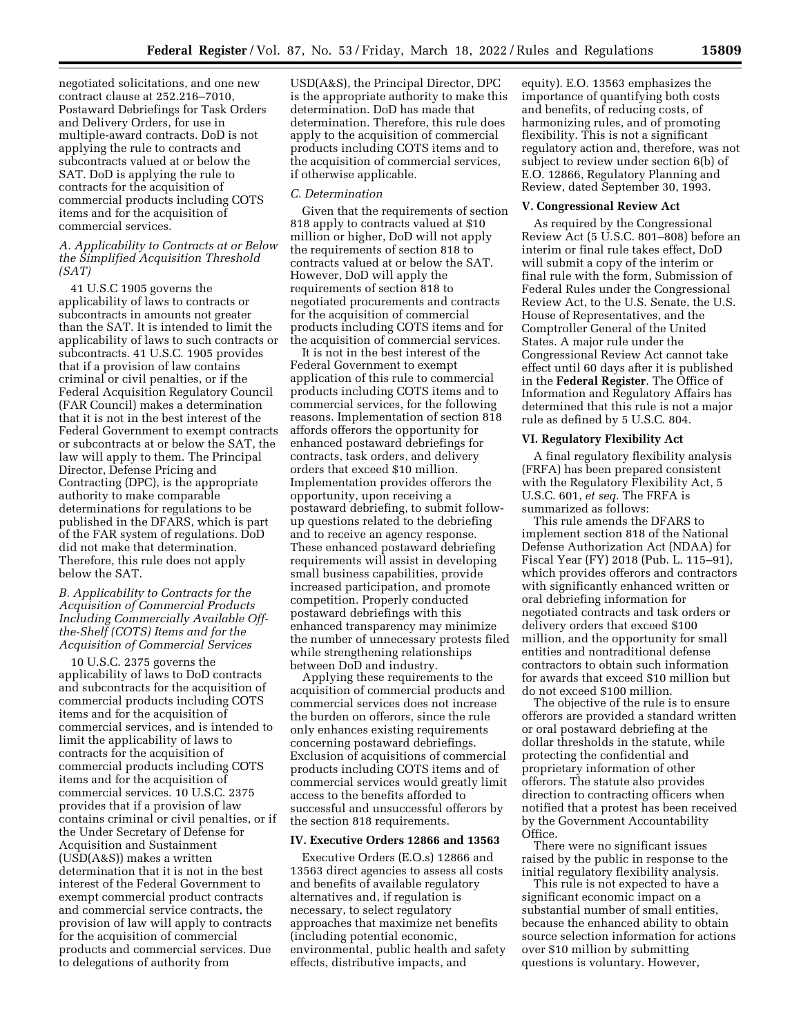negotiated solicitations, and one new contract clause at 252.216–7010, Postaward Debriefings for Task Orders and Delivery Orders, for use in multiple-award contracts. DoD is not applying the rule to contracts and subcontracts valued at or below the SAT. DoD is applying the rule to contracts for the acquisition of commercial products including COTS items and for the acquisition of commercial services.

## *A. Applicability to Contracts at or Below the Simplified Acquisition Threshold (SAT)*

41 U.S.C 1905 governs the applicability of laws to contracts or subcontracts in amounts not greater than the SAT. It is intended to limit the applicability of laws to such contracts or subcontracts. 41 U.S.C. 1905 provides that if a provision of law contains criminal or civil penalties, or if the Federal Acquisition Regulatory Council (FAR Council) makes a determination that it is not in the best interest of the Federal Government to exempt contracts or subcontracts at or below the SAT, the law will apply to them. The Principal Director, Defense Pricing and Contracting (DPC), is the appropriate authority to make comparable determinations for regulations to be published in the DFARS, which is part of the FAR system of regulations. DoD did not make that determination. Therefore, this rule does not apply below the SAT.

## *B. Applicability to Contracts for the Acquisition of Commercial Products Including Commercially Available Offthe-Shelf (COTS) Items and for the Acquisition of Commercial Services*

10 U.S.C. 2375 governs the applicability of laws to DoD contracts and subcontracts for the acquisition of commercial products including COTS items and for the acquisition of commercial services, and is intended to limit the applicability of laws to contracts for the acquisition of commercial products including COTS items and for the acquisition of commercial services. 10 U.S.C. 2375 provides that if a provision of law contains criminal or civil penalties, or if the Under Secretary of Defense for Acquisition and Sustainment (USD(A&S)) makes a written determination that it is not in the best interest of the Federal Government to exempt commercial product contracts and commercial service contracts, the provision of law will apply to contracts for the acquisition of commercial products and commercial services. Due to delegations of authority from

USD(A&S), the Principal Director, DPC is the appropriate authority to make this determination. DoD has made that determination. Therefore, this rule does apply to the acquisition of commercial products including COTS items and to the acquisition of commercial services, if otherwise applicable.

#### *C. Determination*

Given that the requirements of section 818 apply to contracts valued at \$10 million or higher, DoD will not apply the requirements of section 818 to contracts valued at or below the SAT. However, DoD will apply the requirements of section 818 to negotiated procurements and contracts for the acquisition of commercial products including COTS items and for the acquisition of commercial services.

It is not in the best interest of the Federal Government to exempt application of this rule to commercial products including COTS items and to commercial services, for the following reasons. Implementation of section 818 affords offerors the opportunity for enhanced postaward debriefings for contracts, task orders, and delivery orders that exceed \$10 million. Implementation provides offerors the opportunity, upon receiving a postaward debriefing, to submit followup questions related to the debriefing and to receive an agency response. These enhanced postaward debriefing requirements will assist in developing small business capabilities, provide increased participation, and promote competition. Properly conducted postaward debriefings with this enhanced transparency may minimize the number of unnecessary protests filed while strengthening relationships between DoD and industry.

Applying these requirements to the acquisition of commercial products and commercial services does not increase the burden on offerors, since the rule only enhances existing requirements concerning postaward debriefings. Exclusion of acquisitions of commercial products including COTS items and of commercial services would greatly limit access to the benefits afforded to successful and unsuccessful offerors by the section 818 requirements.

#### **IV. Executive Orders 12866 and 13563**

Executive Orders (E.O.s) 12866 and 13563 direct agencies to assess all costs and benefits of available regulatory alternatives and, if regulation is necessary, to select regulatory approaches that maximize net benefits (including potential economic, environmental, public health and safety effects, distributive impacts, and

equity). E.O. 13563 emphasizes the importance of quantifying both costs and benefits, of reducing costs, of harmonizing rules, and of promoting flexibility. This is not a significant regulatory action and, therefore, was not subject to review under section 6(b) of E.O. 12866, Regulatory Planning and Review, dated September 30, 1993.

### **V. Congressional Review Act**

As required by the Congressional Review Act (5 U.S.C. 801–808) before an interim or final rule takes effect, DoD will submit a copy of the interim or final rule with the form, Submission of Federal Rules under the Congressional Review Act, to the U.S. Senate, the U.S. House of Representatives, and the Comptroller General of the United States. A major rule under the Congressional Review Act cannot take effect until 60 days after it is published in the **Federal Register**. The Office of Information and Regulatory Affairs has determined that this rule is not a major rule as defined by 5 U.S.C. 804.

## **VI. Regulatory Flexibility Act**

A final regulatory flexibility analysis (FRFA) has been prepared consistent with the Regulatory Flexibility Act, 5 U.S.C. 601, *et seq.* The FRFA is summarized as follows:

This rule amends the DFARS to implement section 818 of the National Defense Authorization Act (NDAA) for Fiscal Year (FY) 2018 (Pub. L. 115–91), which provides offerors and contractors with significantly enhanced written or oral debriefing information for negotiated contracts and task orders or delivery orders that exceed \$100 million, and the opportunity for small entities and nontraditional defense contractors to obtain such information for awards that exceed \$10 million but do not exceed \$100 million.

The objective of the rule is to ensure offerors are provided a standard written or oral postaward debriefing at the dollar thresholds in the statute, while protecting the confidential and proprietary information of other offerors. The statute also provides direction to contracting officers when notified that a protest has been received by the Government Accountability Office.

There were no significant issues raised by the public in response to the initial regulatory flexibility analysis.

This rule is not expected to have a significant economic impact on a substantial number of small entities, because the enhanced ability to obtain source selection information for actions over \$10 million by submitting questions is voluntary. However,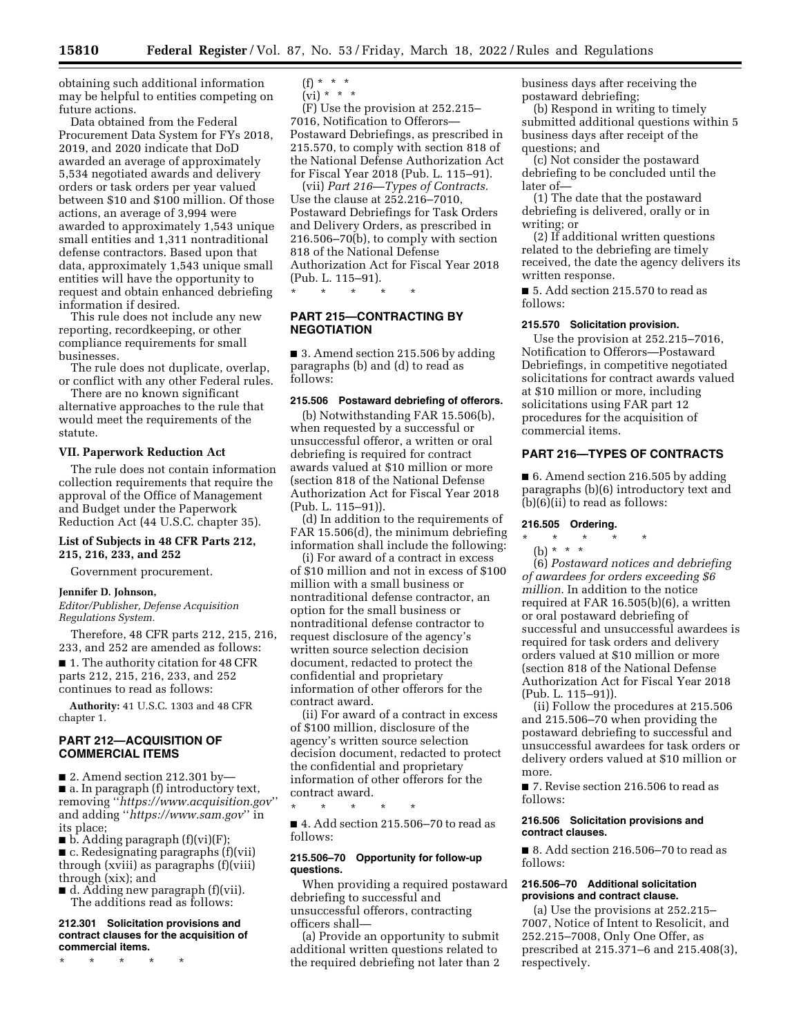obtaining such additional information may be helpful to entities competing on future actions.

Data obtained from the Federal Procurement Data System for FYs 2018, 2019, and 2020 indicate that DoD awarded an average of approximately 5,534 negotiated awards and delivery orders or task orders per year valued between \$10 and \$100 million. Of those actions, an average of 3,994 were awarded to approximately 1,543 unique small entities and 1,311 nontraditional defense contractors. Based upon that data, approximately 1,543 unique small entities will have the opportunity to request and obtain enhanced debriefing information if desired.

This rule does not include any new reporting, recordkeeping, or other compliance requirements for small businesses.

The rule does not duplicate, overlap, or conflict with any other Federal rules.

There are no known significant alternative approaches to the rule that would meet the requirements of the statute.

### **VII. Paperwork Reduction Act**

The rule does not contain information collection requirements that require the approval of the Office of Management and Budget under the Paperwork Reduction Act (44 U.S.C. chapter 35).

## **List of Subjects in 48 CFR Parts 212, 215, 216, 233, and 252**

Government procurement.

### **Jennifer D. Johnson,**

*Editor/Publisher, Defense Acquisition Regulations System.* 

Therefore, 48 CFR parts 212, 215, 216, 233, and 252 are amended as follows: ■ 1. The authority citation for 48 CFR parts 212, 215, 216, 233, and 252 continues to read as follows:

**Authority:** 41 U.S.C. 1303 and 48 CFR chapter 1.

# **PART 212—ACQUISITION OF COMMERCIAL ITEMS**

 $\blacksquare$  2. Amend section 212.301 by— ■ a. In paragraph (f) introductory text, removing ''*<https://www.acquisition.gov>*'' and adding ''*<https://www.sam.gov>*'' in its place;

 $\blacksquare$  b. Adding paragraph (f)(vi)(F); ■ c. Redesignating paragraphs (f)(vii) through (xviii) as paragraphs (f)(viii) through (xix); and

 $\blacksquare$  d. Adding new paragraph (f)(vii). The additions read as follows:

#### **212.301 Solicitation provisions and contract clauses for the acquisition of commercial items.**

\* \* \* \* \*

$$
\begin{array}{c} (f) * * * * \\ \text{(vii)} * * * * \end{array}
$$

(vi) \* \* \*

(F) Use the provision at 252.215– 7016, Notification to Offerors— Postaward Debriefings, as prescribed in 215.570, to comply with section 818 of the National Defense Authorization Act for Fiscal Year 2018 (Pub. L. 115–91).

(vii) *Part 216—Types of Contracts.*  Use the clause at 252.216–7010, Postaward Debriefings for Task Orders and Delivery Orders, as prescribed in 216.506–70(b), to comply with section 818 of the National Defense Authorization Act for Fiscal Year 2018 (Pub. L. 115–91).

\* \* \* \* \*

## **PART 215—CONTRACTING BY NEGOTIATION**

■ 3. Amend section 215.506 by adding paragraphs (b) and (d) to read as follows:

## **215.506 Postaward debriefing of offerors.**

(b) Notwithstanding FAR 15.506(b), when requested by a successful or unsuccessful offeror, a written or oral debriefing is required for contract awards valued at \$10 million or more (section 818 of the National Defense Authorization Act for Fiscal Year 2018 (Pub. L. 115–91)).

(d) In addition to the requirements of FAR 15.506(d), the minimum debriefing information shall include the following:

(i) For award of a contract in excess of \$10 million and not in excess of \$100 million with a small business or nontraditional defense contractor, an option for the small business or nontraditional defense contractor to request disclosure of the agency's written source selection decision document, redacted to protect the confidential and proprietary information of other offerors for the contract award.

(ii) For award of a contract in excess of \$100 million, disclosure of the agency's written source selection decision document, redacted to protect the confidential and proprietary information of other offerors for the contract award.

■ 4. Add section 215.506–70 to read as follows:

\* \* \* \* \*

## **215.506–70 Opportunity for follow-up questions.**

When providing a required postaward debriefing to successful and unsuccessful offerors, contracting officers shall—

(a) Provide an opportunity to submit additional written questions related to the required debriefing not later than 2 business days after receiving the postaward debriefing;

(b) Respond in writing to timely submitted additional questions within 5 business days after receipt of the questions; and

(c) Not consider the postaward debriefing to be concluded until the later of—

(1) The date that the postaward debriefing is delivered, orally or in writing; or

(2) If additional written questions related to the debriefing are timely received, the date the agency delivers its written response.

■ 5. Add section 215.570 to read as follows:

## **215.570 Solicitation provision.**

Use the provision at 252.215–7016, Notification to Offerors—Postaward Debriefings, in competitive negotiated solicitations for contract awards valued at \$10 million or more, including solicitations using FAR part 12 procedures for the acquisition of commercial items.

# **PART 216—TYPES OF CONTRACTS**

■ 6. Amend section 216.505 by adding paragraphs (b)(6) introductory text and (b)(6)(ii) to read as follows:

#### **216.505 Ordering.**

### \* \* \* \* \*

(b) \* \* \* (6) *Postaward notices and debriefing of awardees for orders exceeding \$6 million.* In addition to the notice required at FAR 16.505(b)(6), a written or oral postaward debriefing of successful and unsuccessful awardees is required for task orders and delivery orders valued at \$10 million or more (section 818 of the National Defense Authorization Act for Fiscal Year 2018 (Pub. L. 115–91)).

(ii) Follow the procedures at 215.506 and 215.506–70 when providing the postaward debriefing to successful and unsuccessful awardees for task orders or delivery orders valued at \$10 million or more.

■ 7. Revise section 216.506 to read as follows:

### **216.506 Solicitation provisions and contract clauses.**

■ 8. Add section 216.506–70 to read as follows:

### **216.506–70 Additional solicitation provisions and contract clause.**

(a) Use the provisions at 252.215– 7007, Notice of Intent to Resolicit, and 252.215–7008, Only One Offer, as prescribed at 215.371–6 and 215.408(3), respectively.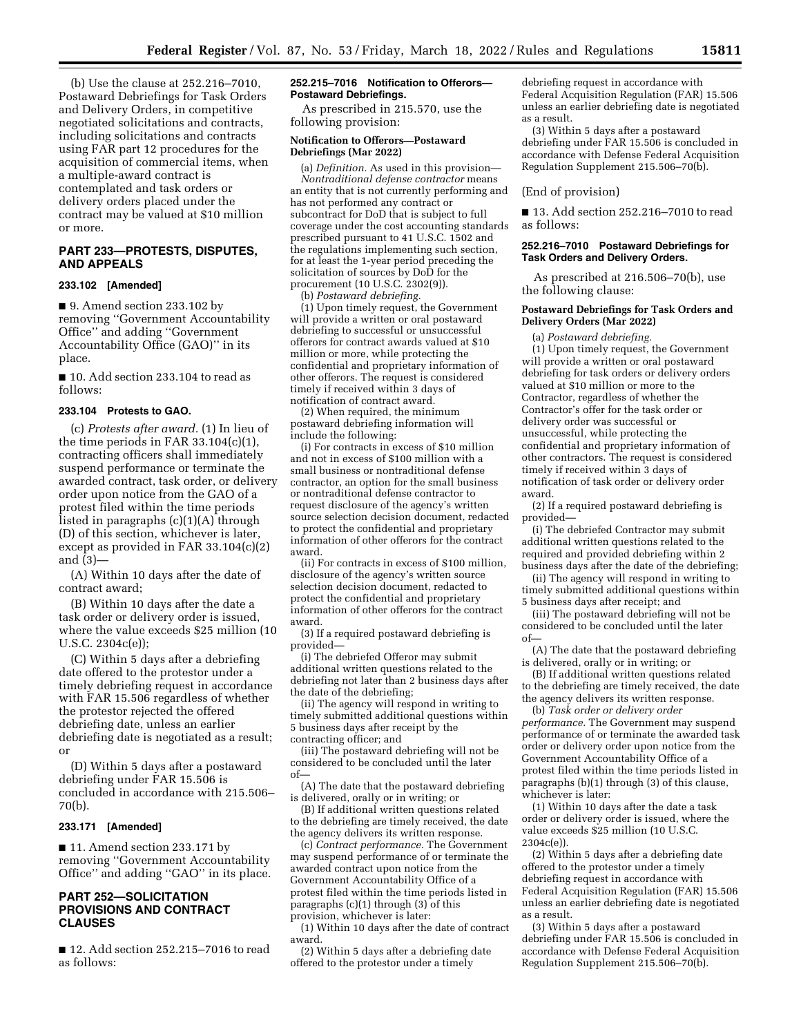(b) Use the clause at 252.216–7010, Postaward Debriefings for Task Orders and Delivery Orders, in competitive negotiated solicitations and contracts, including solicitations and contracts using FAR part 12 procedures for the acquisition of commercial items, when a multiple-award contract is contemplated and task orders or delivery orders placed under the contract may be valued at \$10 million or more.

## **PART 233—PROTESTS, DISPUTES, AND APPEALS**

### **233.102 [Amended]**

■ 9. Amend section 233.102 by removing ''Government Accountability Office'' and adding ''Government Accountability Office (GAO)'' in its place.

■ 10. Add section 233.104 to read as follows:

### **233.104 Protests to GAO.**

(c) *Protests after award.* (1) In lieu of the time periods in FAR 33.104(c)(1), contracting officers shall immediately suspend performance or terminate the awarded contract, task order, or delivery order upon notice from the GAO of a protest filed within the time periods listed in paragraphs (c)(1)(A) through (D) of this section, whichever is later, except as provided in FAR 33.104(c)(2) and (3)—

(A) Within 10 days after the date of contract award;

(B) Within 10 days after the date a task order or delivery order is issued, where the value exceeds \$25 million (10 U.S.C. 2304c(e));

(C) Within 5 days after a debriefing date offered to the protestor under a timely debriefing request in accordance with FAR 15.506 regardless of whether the protestor rejected the offered debriefing date, unless an earlier debriefing date is negotiated as a result; or

(D) Within 5 days after a postaward debriefing under FAR 15.506 is concluded in accordance with 215.506– 70(b).

## **233.171 [Amended]**

■ 11. Amend section 233.171 by removing ''Government Accountability Office'' and adding ''GAO'' in its place.

## **PART 252—SOLICITATION PROVISIONS AND CONTRACT CLAUSES**

■ 12. Add section 252.215-7016 to read as follows:

#### **252.215–7016 Notification to Offerors— Postaward Debriefings.**

As prescribed in 215.570, use the following provision:

#### **Notification to Offerors—Postaward Debriefings (Mar 2022)**

(a) *Definition.* As used in this provision— *Nontraditional defense contractor* means an entity that is not currently performing and has not performed any contract or subcontract for DoD that is subject to full coverage under the cost accounting standards prescribed pursuant to 41 U.S.C. 1502 and the regulations implementing such section, for at least the 1-year period preceding the solicitation of sources by DoD for the procurement (10 U.S.C. 2302(9)).

(b) *Postaward debriefing.* 

(1) Upon timely request, the Government will provide a written or oral postaward debriefing to successful or unsuccessful offerors for contract awards valued at \$10 million or more, while protecting the confidential and proprietary information of other offerors. The request is considered timely if received within 3 days of notification of contract award.

(2) When required, the minimum postaward debriefing information will include the following:

(i) For contracts in excess of \$10 million and not in excess of \$100 million with a small business or nontraditional defense contractor, an option for the small business or nontraditional defense contractor to request disclosure of the agency's written source selection decision document, redacted to protect the confidential and proprietary information of other offerors for the contract award.

(ii) For contracts in excess of \$100 million, disclosure of the agency's written source selection decision document, redacted to protect the confidential and proprietary information of other offerors for the contract award.

(3) If a required postaward debriefing is provided—

(i) The debriefed Offeror may submit additional written questions related to the debriefing not later than 2 business days after the date of the debriefing;

(ii) The agency will respond in writing to timely submitted additional questions within 5 business days after receipt by the contracting officer; and

(iii) The postaward debriefing will not be considered to be concluded until the later of—

(A) The date that the postaward debriefing is delivered, orally or in writing; or

(B) If additional written questions related to the debriefing are timely received, the date the agency delivers its written response.

(c) *Contract performance.* The Government may suspend performance of or terminate the awarded contract upon notice from the Government Accountability Office of a protest filed within the time periods listed in paragraphs (c)(1) through (3) of this provision, whichever is later:

(1) Within 10 days after the date of contract award.

(2) Within 5 days after a debriefing date offered to the protestor under a timely

debriefing request in accordance with Federal Acquisition Regulation (FAR) 15.506 unless an earlier debriefing date is negotiated as a result.

(3) Within 5 days after a postaward debriefing under FAR 15.506 is concluded in accordance with Defense Federal Acquisition Regulation Supplement 215.506–70(b).

#### (End of provision)

■ 13. Add section 252.216–7010 to read as follows:

#### **252.216–7010 Postaward Debriefings for Task Orders and Delivery Orders.**

As prescribed at 216.506–70(b), use the following clause:

#### **Postaward Debriefings for Task Orders and Delivery Orders (Mar 2022)**

(a) *Postaward debriefing.* 

(1) Upon timely request, the Government will provide a written or oral postaward debriefing for task orders or delivery orders valued at \$10 million or more to the Contractor, regardless of whether the Contractor's offer for the task order or delivery order was successful or unsuccessful, while protecting the confidential and proprietary information of other contractors. The request is considered timely if received within 3 days of notification of task order or delivery order award.

(2) If a required postaward debriefing is provided—

(i) The debriefed Contractor may submit additional written questions related to the required and provided debriefing within 2 business days after the date of the debriefing;

(ii) The agency will respond in writing to timely submitted additional questions within 5 business days after receipt; and

(iii) The postaward debriefing will not be considered to be concluded until the later of—

(A) The date that the postaward debriefing is delivered, orally or in writing; or

(B) If additional written questions related to the debriefing are timely received, the date the agency delivers its written response.

(b) *Task order or delivery order performance.* The Government may suspend performance of or terminate the awarded task order or delivery order upon notice from the Government Accountability Office of a protest filed within the time periods listed in paragraphs (b)(1) through (3) of this clause, whichever is later:

(1) Within 10 days after the date a task order or delivery order is issued, where the value exceeds \$25 million (10 U.S.C. 2304c(e)).

(2) Within 5 days after a debriefing date offered to the protestor under a timely debriefing request in accordance with Federal Acquisition Regulation (FAR) 15.506 unless an earlier debriefing date is negotiated as a result.

(3) Within 5 days after a postaward debriefing under FAR 15.506 is concluded in accordance with Defense Federal Acquisition Regulation Supplement 215.506–70(b).